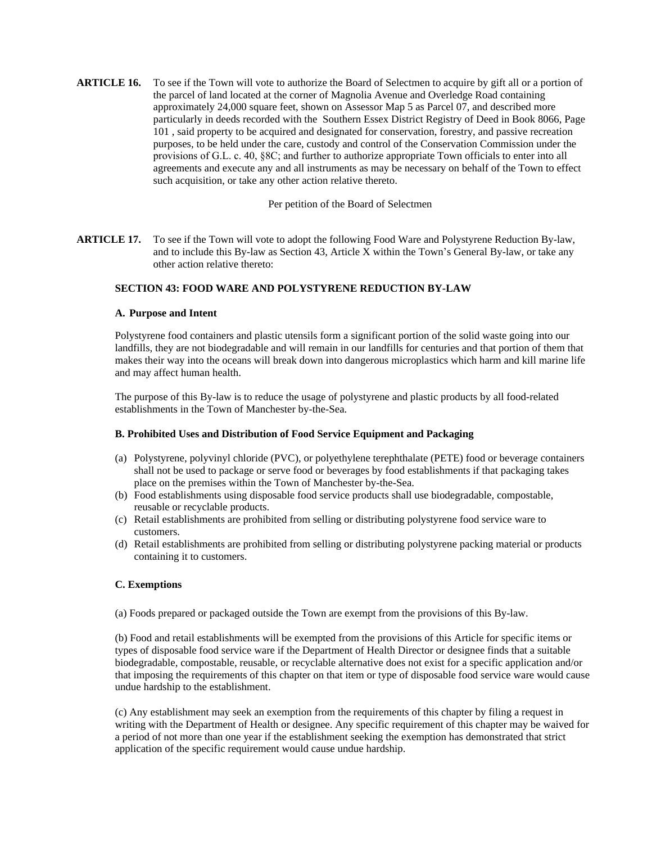**ARTICLE 17.** To see if the Town will vote to adopt the following Food Ware and Polystyrene Reduction By-law, and to include this By-law as Section 43, Article X within the Town's General By-law, or take any other action relative thereto:

### **SECTION 43: FOOD WARE AND POLYSTYRENE REDUCTION BY-LAW**

### **A. Purpose and Intent**

Polystyrene food containers and plastic utensils form a significant portion of the solid waste going into our landfills, they are not biodegradable and will remain in our landfills for centuries and that portion of them that makes their way into the oceans will break down into dangerous microplastics which harm and kill marine life and may affect human health.

The purpose of this By-law is to reduce the usage of polystyrene and plastic products by all food-related establishments in the Town of Manchester by-the-Sea.

## **B. Prohibited Uses and Distribution of Food Service Equipment and Packaging**

- (a) Polystyrene, polyvinyl chloride (PVC), or polyethylene terephthalate (PETE) food or beverage containers shall not be used to package or serve food or beverages by food establishments if that packaging takes place on the premises within the Town of Manchester by-the-Sea.
- (b) Food establishments using disposable food service products shall use biodegradable, compostable, reusable or recyclable products.
- (c) Retail establishments are prohibited from selling or distributing polystyrene food service ware to customers.
- (d) Retail establishments are prohibited from selling or distributing polystyrene packing material or products containing it to customers.

# **C. Exemptions**

(a) Foods prepared or packaged outside the Town are exempt from the provisions of this By-law.

(b) Food and retail establishments will be exempted from the provisions of this Article for specific items or types of disposable food service ware if the Department of Health Director or designee finds that a suitable biodegradable, compostable, reusable, or recyclable alternative does not exist for a specific application and/or that imposing the requirements of this chapter on that item or type of disposable food service ware would cause undue hardship to the establishment.

(c) Any establishment may seek an exemption from the requirements of this chapter by filing a request in writing with the Department of Health or designee. Any specific requirement of this chapter may be waived for a period of not more than one year if the establishment seeking the exemption has demonstrated that strict application of the specific requirement would cause undue hardship.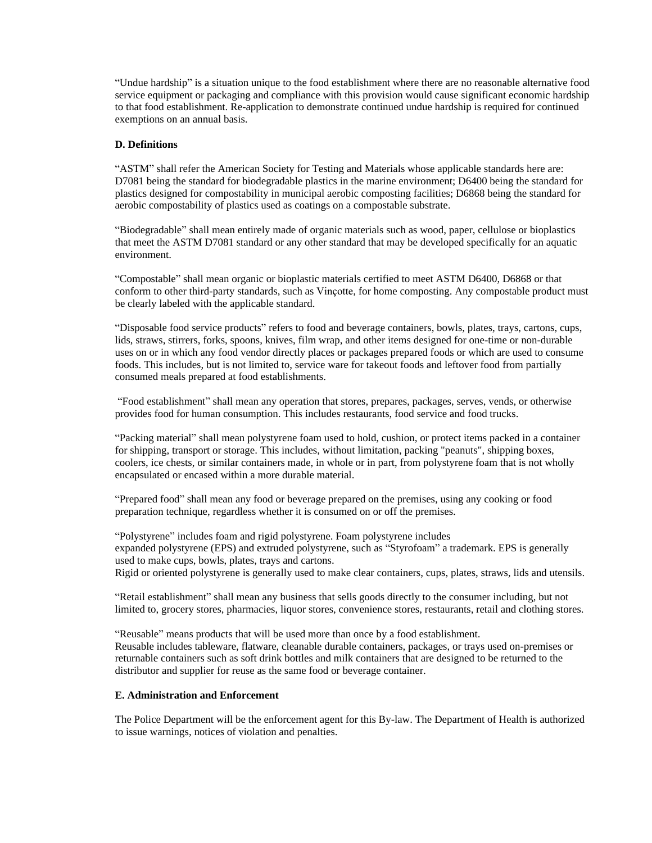"Undue hardship" is a situation unique to the food establishment where there are no reasonable alternative food service equipment or packaging and compliance with this provision would cause significant economic hardship to that food establishment. Re-application to demonstrate continued undue hardship is required for continued exemptions on an annual basis.

## **D. Definitions**

"ASTM" shall refer the American Society for Testing and Materials whose applicable standards here are: D7081 being the standard for biodegradable plastics in the marine environment; D6400 being the standard for plastics designed for compostability in municipal aerobic composting facilities; D6868 being the standard for aerobic compostability of plastics used as coatings on a compostable substrate.

"Biodegradable" shall mean entirely made of organic materials such as wood, paper, cellulose or bioplastics that meet the ASTM D7081 standard or any other standard that may be developed specifically for an aquatic environment.

"Compostable" shall mean organic or bioplastic materials certified to meet ASTM D6400, D6868 or that conform to other third-party standards, such as Vinçotte, for home composting. Any compostable product must be clearly labeled with the applicable standard.

"Disposable food service products" refers to food and beverage containers, bowls, plates, trays, cartons, cups, lids, straws, stirrers, forks, spoons, knives, film wrap, and other items designed for one-time or non-durable uses on or in which any food vendor directly places or packages prepared foods or which are used to consume foods. This includes, but is not limited to, service ware for takeout foods and leftover food from partially consumed meals prepared at food establishments.

"Food establishment" shall mean any operation that stores, prepares, packages, serves, vends, or otherwise provides food for human consumption. This includes restaurants, food service and food trucks.

"Packing material" shall mean polystyrene foam used to hold, cushion, or protect items packed in a container for shipping, transport or storage. This includes, without limitation, packing "peanuts", shipping boxes, coolers, ice chests, or similar containers made, in whole or in part, from polystyrene foam that is not wholly encapsulated or encased within a more durable material.

"Prepared food" shall mean any food or beverage prepared on the premises, using any cooking or food preparation technique, regardless whether it is consumed on or off the premises.

"Polystyrene" includes foam and rigid polystyrene. Foam polystyrene includes expanded polystyrene (EPS) and extruded polystyrene, such as "Styrofoam" a trademark. EPS is generally used to make cups, bowls, plates, trays and cartons. Rigid or oriented polystyrene is generally used to make clear containers, cups, plates, straws, lids and utensils.

"Retail establishment" shall mean any business that sells goods directly to the consumer including, but not limited to, grocery stores, pharmacies, liquor stores, convenience stores, restaurants, retail and clothing stores.

"Reusable" means products that will be used more than once by a food establishment. Reusable includes tableware, flatware, cleanable durable containers, packages, or trays used on-premises or returnable containers such as soft drink bottles and milk containers that are designed to be returned to the distributor and supplier for reuse as the same food or beverage container.

### **E. Administration and Enforcement**

The Police Department will be the enforcement agent for this By-law. The Department of Health is authorized to issue warnings, notices of violation and penalties.